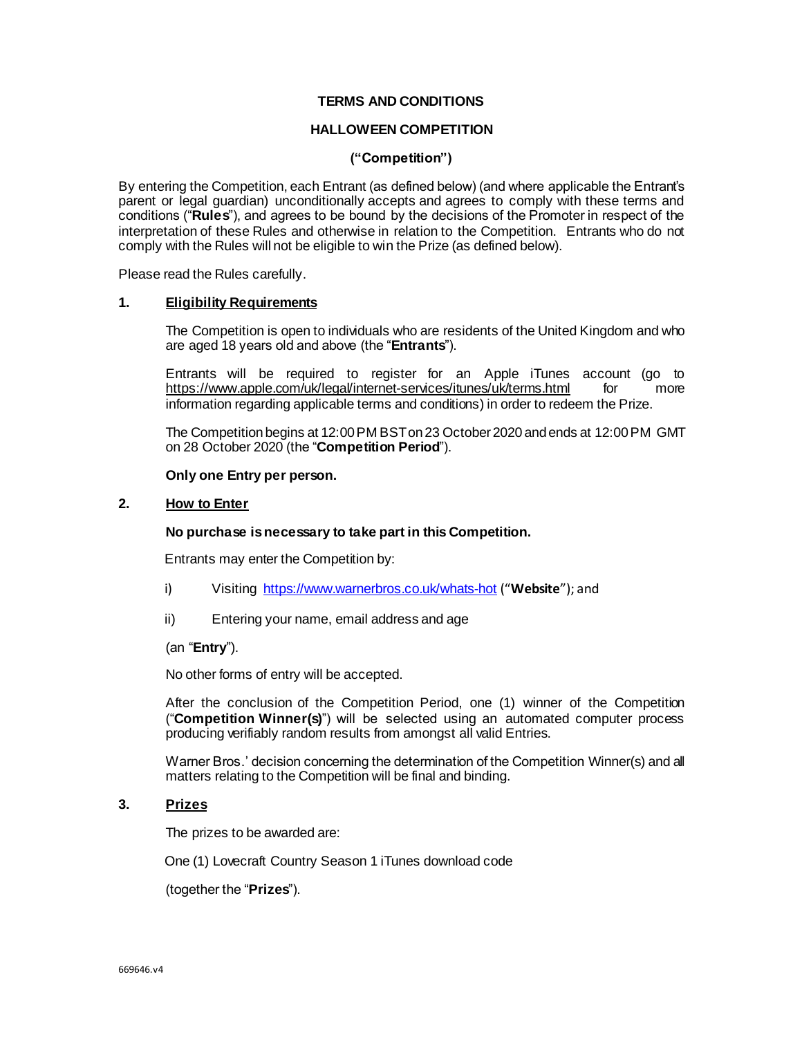### **TERMS AND CONDITIONS**

# **HALLOWEEN COMPETITION**

## **("Competition")**

By entering the Competition, each Entrant (as defined below) (and where applicable the Entrant's parent or legal guardian) unconditionally accepts and agrees to comply with these terms and conditions ("**Rules**"), and agrees to be bound by the decisions of the Promoter in respect of the interpretation of these Rules and otherwise in relation to the Competition. Entrants who do not comply with the Rules will not be eligible to win the Prize (as defined below).

Please read the Rules carefully.

### **1. Eligibility Requirements**

The Competition is open to individuals who are residents of the United Kingdom and who are aged 18 years old and above (the "**Entrants**").

Entrants will be required to register for an Apple iTunes account (go to https://www.apple.com/uk/legal/internet-services/itunes/uk/terms.html for more <https://www.apple.com/uk/legal/internet-services/itunes/uk/terms.html> information regarding applicable terms and conditions) in order to redeem the Prize.

The Competition begins at 12:00 PM BSTon23 October 2020 and ends at 12:00 PM GMT on 28 October 2020 (the "**Competition Period**").

#### **Only one Entry per person.**

## **2. How to Enter**

#### **No purchase is necessary to take part in this Competition.**

Entrants may enter the Competition by:

- i) Visiting <https://www.warnerbros.co.uk/whats-hot> ("**Website**"); and
- ii) Entering your name, email address and age

#### (an "**Entry**").

No other forms of entry will be accepted.

After the conclusion of the Competition Period, one (1) winner of the Competition ("**Competition Winner(s)**") will be selected using an automated computer process producing verifiably random results from amongst all valid Entries.

Warner Bros.' decision concerning the determination of the Competition Winner(s) and all matters relating to the Competition will be final and binding.

## **3. Prizes**

The prizes to be awarded are:

One (1) Lovecraft Country Season 1 iTunes download code

(together the "**Prizes**").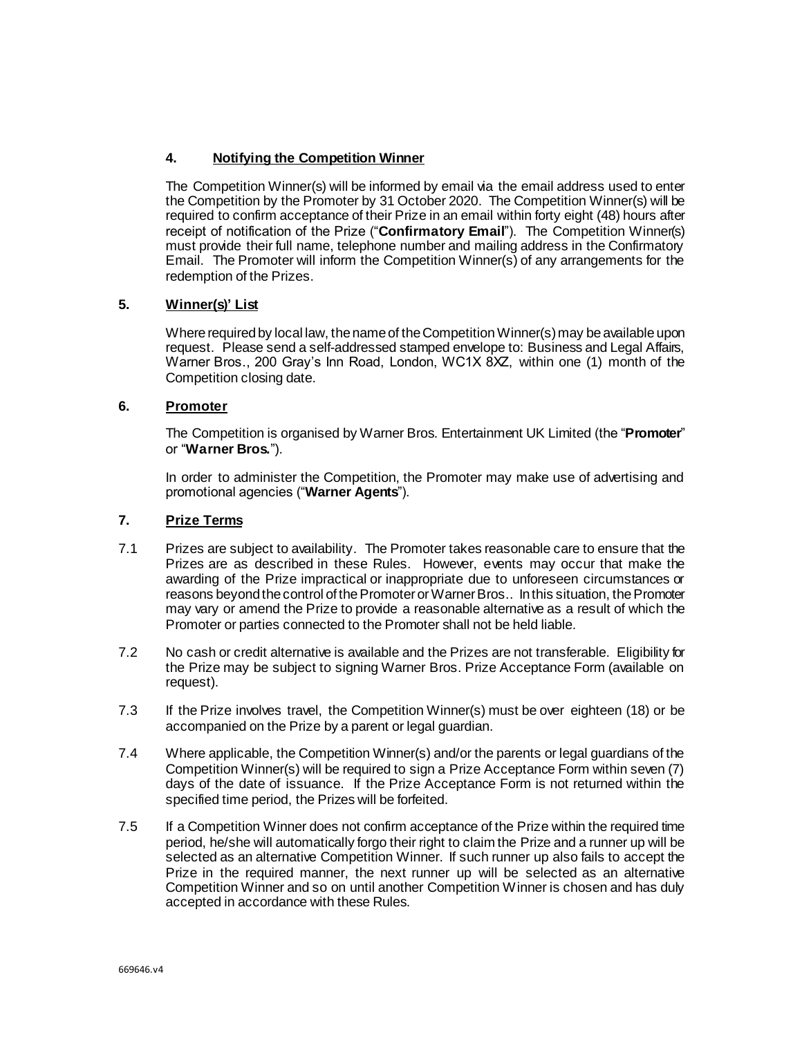# **4. Notifying the Competition Winner**

The Competition Winner(s) will be informed by email via the email address used to enter the Competition by the Promoter by 31 October 2020. The Competition Winner(s) will be required to confirm acceptance of their Prize in an email within forty eight (48) hours after receipt of notification of the Prize ("**Confirmatory Email**"). The Competition Winner(s) must provide their full name, telephone number and mailing address in the Confirmatory Email. The Promoter will inform the Competition Winner(s) of any arrangements for the redemption of the Prizes.

# **5. Winner(s)' List**

Where required by local law, the name of the Competition Winner(s) may be available upon request. Please send a self-addressed stamped envelope to: Business and Legal Affairs, Warner Bros., 200 Gray's Inn Road, London, WC1X 8XZ, within one (1) month of the Competition closing date.

# **6. Promoter**

The Competition is organised by Warner Bros. Entertainment UK Limited (the "**Promoter**" or "**Warner Bros.**").

In order to administer the Competition, the Promoter may make use of advertising and promotional agencies ("**Warner Agents**").

# **7. Prize Terms**

- 7.1 Prizes are subject to availability. The Promoter takes reasonable care to ensure that the Prizes are as described in these Rules. However, events may occur that make the awarding of the Prize impractical or inappropriate due to unforeseen circumstances or reasons beyond the control of the Promoter or Warner Bros.. In this situation, the Promoter may vary or amend the Prize to provide a reasonable alternative as a result of which the Promoter or parties connected to the Promoter shall not be held liable.
- 7.2 No cash or credit alternative is available and the Prizes are not transferable. Eligibility for the Prize may be subject to signing Warner Bros. Prize Acceptance Form (available on request).
- 7.3 If the Prize involves travel, the Competition Winner(s) must be over eighteen (18) or be accompanied on the Prize by a parent or legal guardian.
- 7.4 Where applicable, the Competition Winner(s) and/or the parents or legal guardians of the Competition Winner(s) will be required to sign a Prize Acceptance Form within seven (7) days of the date of issuance. If the Prize Acceptance Form is not returned within the specified time period, the Prizes will be forfeited.
- 7.5 If a Competition Winner does not confirm acceptance of the Prize within the required time period, he/she will automatically forgo their right to claim the Prize and a runner up will be selected as an alternative Competition Winner. If such runner up also fails to accept the Prize in the required manner, the next runner up will be selected as an alternative Competition Winner and so on until another Competition Winner is chosen and has duly accepted in accordance with these Rules.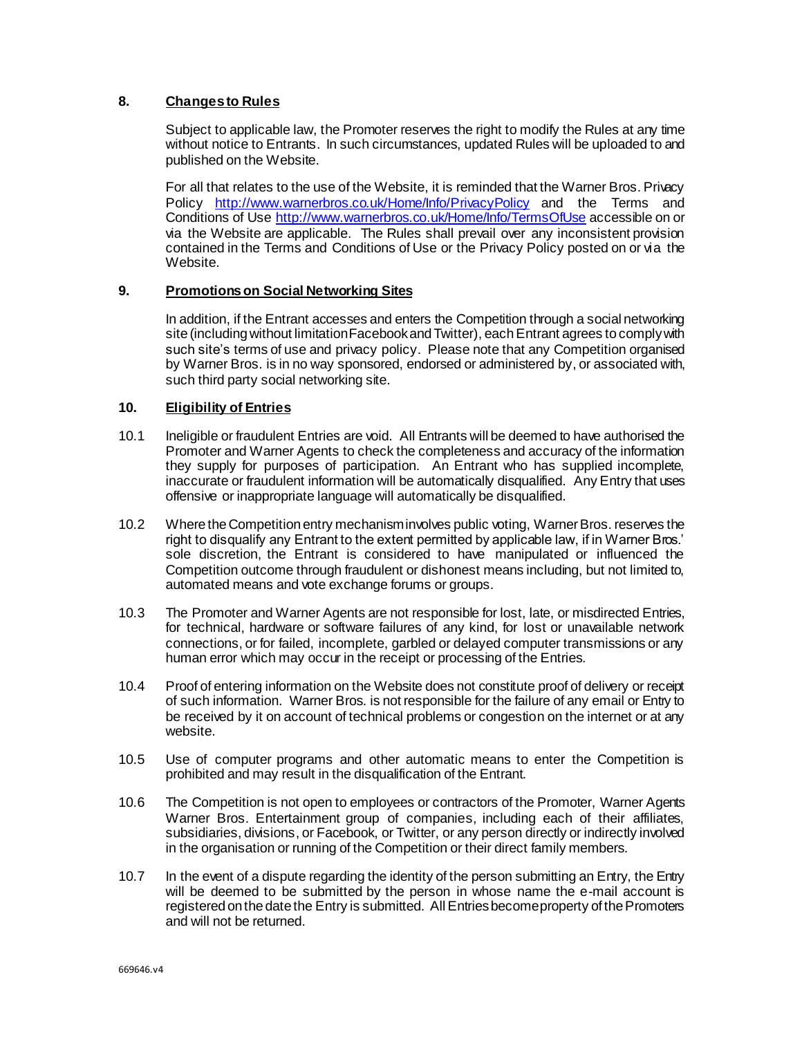# **8. Changes to Rules**

Subject to applicable law, the Promoter reserves the right to modify the Rules at any time without notice to Entrants. In such circumstances, updated Rules will be uploaded to and published on the Website.

For all that relates to the use of the Website, it is reminded that the Warner Bros. Privacy Policy <http://www.warnerbros.co.uk/Home/Info/PrivacyPolicy> and the Terms and Conditions of Use<http://www.warnerbros.co.uk/Home/Info/TermsOfUse> accessible on or via the Website are applicable. The Rules shall prevail over any inconsistent provision contained in the Terms and Conditions of Use or the Privacy Policy posted on or via the Website.

## **9. Promotions on Social Networking Sites**

In addition, if the Entrant accesses and enters the Competition through a social networking site (including without limitation Facebook and Twitter), each Entrant agrees to comply with such site's terms of use and privacy policy. Please note that any Competition organised by Warner Bros. is in no way sponsored, endorsed or administered by, or associated with, such third party social networking site.

## **10. Eligibility of Entries**

- 10.1 Ineligible or fraudulent Entries are void. All Entrants will be deemed to have authorised the Promoter and Warner Agents to check the completeness and accuracy of the information they supply for purposes of participation. An Entrant who has supplied incomplete, inaccurate or fraudulent information will be automatically disqualified. Any Entry that uses offensive or inappropriate language will automatically be disqualified.
- 10.2 Where the Competition entry mechanism involves public voting, Warner Bros. reserves the right to disqualify any Entrant to the extent permitted by applicable law, if in Warner Bros.' sole discretion, the Entrant is considered to have manipulated or influenced the Competition outcome through fraudulent or dishonest means including, but not limited to, automated means and vote exchange forums or groups.
- 10.3 The Promoter and Warner Agents are not responsible for lost, late, or misdirected Entries, for technical, hardware or software failures of any kind, for lost or unavailable network connections, or for failed, incomplete, garbled or delayed computer transmissions or any human error which may occur in the receipt or processing of the Entries.
- 10.4 Proof of entering information on the Website does not constitute proof of delivery or receipt of such information. Warner Bros. is not responsible for the failure of any email or Entry to be received by it on account of technical problems or congestion on the internet or at any website.
- 10.5 Use of computer programs and other automatic means to enter the Competition is prohibited and may result in the disqualification of the Entrant.
- 10.6 The Competition is not open to employees or contractors of the Promoter, Warner Agents Warner Bros. Entertainment group of companies, including each of their affiliates, subsidiaries, divisions, or Facebook, or Twitter, or any person directly or indirectly involved in the organisation or running of the Competition or their direct family members.
- 10.7 In the event of a dispute regarding the identity of the person submitting an Entry, the Entry will be deemed to be submitted by the person in whose name the e-mail account is registered on the date the Entry is submitted. All Entries become property of the Promoters and will not be returned.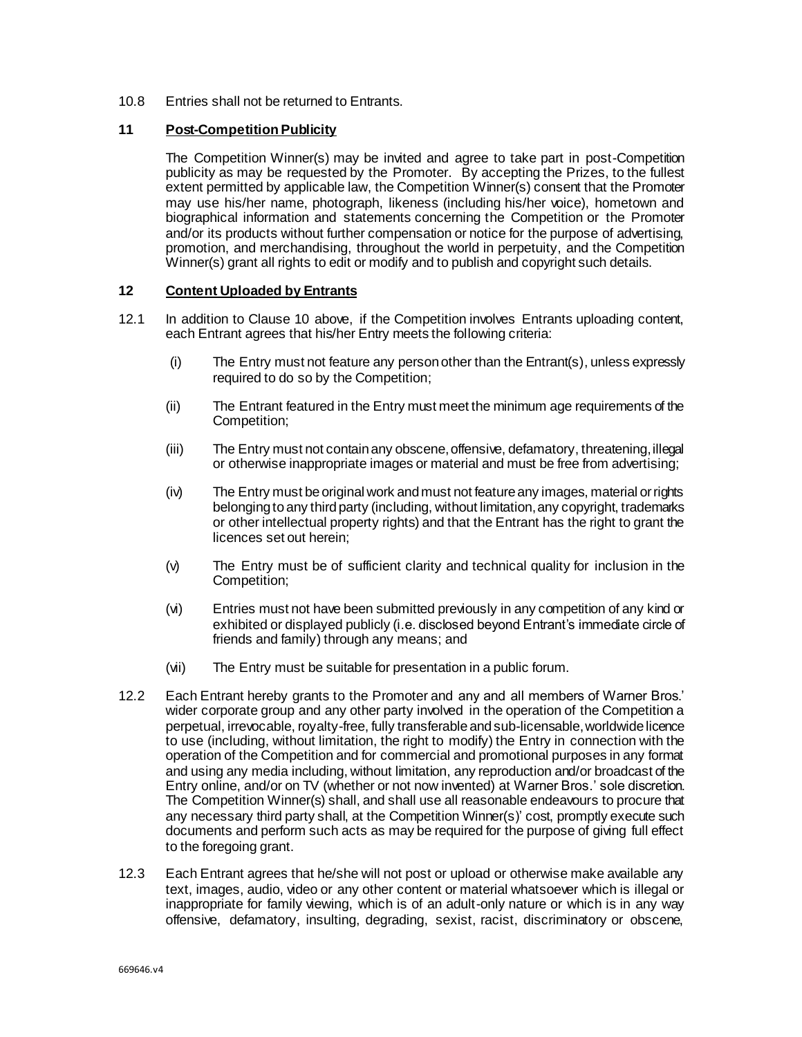10.8 Entries shall not be returned to Entrants.

## **11 Post-Competition Publicity**

The Competition Winner(s) may be invited and agree to take part in post-Competition publicity as may be requested by the Promoter. By accepting the Prizes, to the fullest extent permitted by applicable law, the Competition Winner(s) consent that the Promoter may use his/her name, photograph, likeness (including his/her voice), hometown and biographical information and statements concerning the Competition or the Promoter and/or its products without further compensation or notice for the purpose of advertising, promotion, and merchandising, throughout the world in perpetuity, and the Competition Winner(s) grant all rights to edit or modify and to publish and copyright such details.

## **12 Content Uploaded by Entrants**

- 12.1 In addition to Clause 10 above, if the Competition involves Entrants uploading content, each Entrant agrees that his/her Entry meets the following criteria:
	- (i) The Entry must not feature any person other than the Entrant(s), unless expressly required to do so by the Competition;
	- (ii) The Entrant featured in the Entry must meet the minimum age requirements of the Competition;
	- (iii) The Entry must not contain any obscene, offensive, defamatory, threatening, illegal or otherwise inappropriate images or material and must be free from advertising;
	- (iv) The Entry must be original work and must not feature any images, material or rights belonging to any third party (including, without limitation, any copyright, trademarks or other intellectual property rights) and that the Entrant has the right to grant the licences set out herein;
	- (v) The Entry must be of sufficient clarity and technical quality for inclusion in the Competition;
	- (vi) Entries must not have been submitted previously in any competition of any kind or exhibited or displayed publicly (i.e. disclosed beyond Entrant's immediate circle of friends and family) through any means; and
	- (vii) The Entry must be suitable for presentation in a public forum.
- 12.2 Each Entrant hereby grants to the Promoter and any and all members of Warner Bros.' wider corporate group and any other party involved in the operation of the Competition a perpetual, irrevocable, royalty-free, fully transferable and sub-licensable, worldwide licence to use (including, without limitation, the right to modify) the Entry in connection with the operation of the Competition and for commercial and promotional purposes in any format and using any media including, without limitation, any reproduction and/or broadcast of the Entry online, and/or on TV (whether or not now invented) at Warner Bros.' sole discretion. The Competition Winner(s) shall, and shall use all reasonable endeavours to procure that any necessary third party shall, at the Competition Winner(s)' cost, promptly execute such documents and perform such acts as may be required for the purpose of giving full effect to the foregoing grant.
- 12.3 Each Entrant agrees that he/she will not post or upload or otherwise make available any text, images, audio, video or any other content or material whatsoever which is illegal or inappropriate for family viewing, which is of an adult-only nature or which is in any way offensive, defamatory, insulting, degrading, sexist, racist, discriminatory or obscene,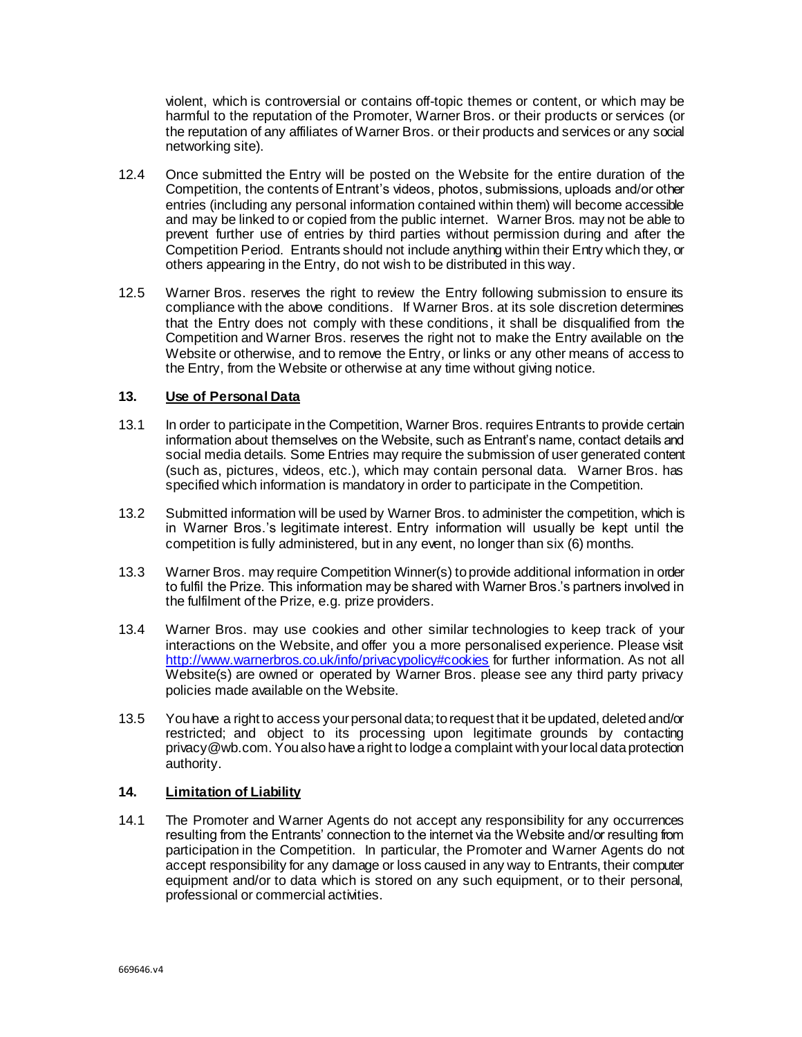violent, which is controversial or contains off-topic themes or content, or which may be harmful to the reputation of the Promoter, Warner Bros. or their products or services (or the reputation of any affiliates of Warner Bros. or their products and services or any social networking site).

- 12.4 Once submitted the Entry will be posted on the Website for the entire duration of the Competition, the contents of Entrant's videos, photos, submissions, uploads and/or other entries (including any personal information contained within them) will become accessible and may be linked to or copied from the public internet. Warner Bros. may not be able to prevent further use of entries by third parties without permission during and after the Competition Period. Entrants should not include anything within their Entry which they, or others appearing in the Entry, do not wish to be distributed in this way.
- 12.5 Warner Bros. reserves the right to review the Entry following submission to ensure its compliance with the above conditions. If Warner Bros. at its sole discretion determines that the Entry does not comply with these conditions, it shall be disqualified from the Competition and Warner Bros. reserves the right not to make the Entry available on the Website or otherwise, and to remove the Entry, or links or any other means of access to the Entry, from the Website or otherwise at any time without giving notice.

## **13. Use of Personal Data**

- 13.1 In order to participate in the Competition, Warner Bros. requires Entrants to provide certain information about themselves on the Website, such as Entrant's name, contact details and social media details. Some Entries may require the submission of user generated content (such as, pictures, videos, etc.), which may contain personal data. Warner Bros. has specified which information is mandatory in order to participate in the Competition.
- 13.2 Submitted information will be used by Warner Bros. to administer the competition, which is in Warner Bros.'s legitimate interest. Entry information will usually be kept until the competition is fully administered, but in any event, no longer than six (6) months.
- 13.3 Warner Bros. may require Competition Winner(s) to provide additional information in order to fulfil the Prize. This information may be shared with Warner Bros.'s partners involved in the fulfilment of the Prize, e.g. prize providers.
- 13.4 Warner Bros. may use cookies and other similar technologies to keep track of your interactions on the Website, and offer you a more personalised experience. Please visit <http://www.warnerbros.co.uk/info/privacypolicy#cookies> for further information. As not all Website(s) are owned or operated by Warner Bros. please see any third party privacy policies made available on the Website.
- 13.5 You have a right to access your personal data; to request that it be updated, deleted and/or restricted; and object to its processing upon legitimate grounds by contacting privacy@wb.com. You also have a right to lodge a complaint with your local data protection authority.

# **14. Limitation of Liability**

14.1 The Promoter and Warner Agents do not accept any responsibility for any occurrences resulting from the Entrants' connection to the internet via the Website and/or resulting from participation in the Competition. In particular, the Promoter and Warner Agents do not accept responsibility for any damage or loss caused in any way to Entrants, their computer equipment and/or to data which is stored on any such equipment, or to their personal, professional or commercial activities.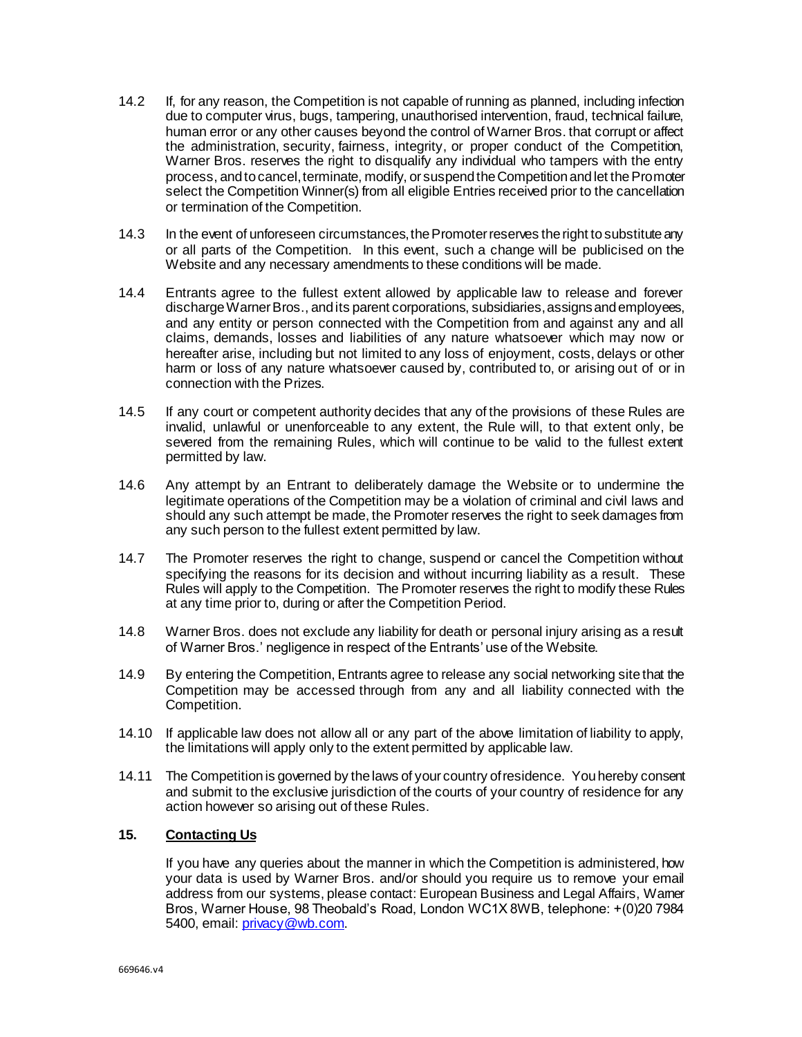- 14.2 If, for any reason, the Competition is not capable of running as planned, including infection due to computer virus, bugs, tampering, unauthorised intervention, fraud, technical failure, human error or any other causes beyond the control of Warner Bros. that corrupt or affect the administration, security, fairness, integrity, or proper conduct of the Competition, Warner Bros. reserves the right to disqualify any individual who tampers with the entry process, and to cancel, terminate, modify, or suspend the Competition and let the Promoter select the Competition Winner(s) from all eligible Entries received prior to the cancellation or termination of the Competition.
- 14.3 In the event of unforeseen circumstances, the Promoter reserves the right to substitute any or all parts of the Competition. In this event, such a change will be publicised on the Website and any necessary amendments to these conditions will be made.
- 14.4 Entrants agree to the fullest extent allowed by applicable law to release and forever discharge Warner Bros., and its parent corporations, subsidiaries, assigns and employees, and any entity or person connected with the Competition from and against any and all claims, demands, losses and liabilities of any nature whatsoever which may now or hereafter arise, including but not limited to any loss of enjoyment, costs, delays or other harm or loss of any nature whatsoever caused by, contributed to, or arising out of or in connection with the Prizes.
- 14.5 If any court or competent authority decides that any of the provisions of these Rules are invalid, unlawful or unenforceable to any extent, the Rule will, to that extent only, be severed from the remaining Rules, which will continue to be valid to the fullest extent permitted by law.
- 14.6 Any attempt by an Entrant to deliberately damage the Website or to undermine the legitimate operations of the Competition may be a violation of criminal and civil laws and should any such attempt be made, the Promoter reserves the right to seek damages from any such person to the fullest extent permitted by law.
- 14.7 The Promoter reserves the right to change, suspend or cancel the Competition without specifying the reasons for its decision and without incurring liability as a result. These Rules will apply to the Competition. The Promoter reserves the right to modify these Rules at any time prior to, during or after the Competition Period.
- 14.8 Warner Bros. does not exclude any liability for death or personal injury arising as a result of Warner Bros.' negligence in respect of the Entrants' use of the Website.
- 14.9 By entering the Competition, Entrants agree to release any social networking site that the Competition may be accessed through from any and all liability connected with the Competition.
- 14.10 If applicable law does not allow all or any part of the above limitation of liability to apply, the limitations will apply only to the extent permitted by applicable law.
- 14.11 The Competition is governed by the laws of your country of residence. You hereby consent and submit to the exclusive jurisdiction of the courts of your country of residence for any action however so arising out of these Rules.

# **15. Contacting Us**

If you have any queries about the manner in which the Competition is administered, how your data is used by Warner Bros. and/or should you require us to remove your email address from our systems, please contact: European Business and Legal Affairs, Wamer Bros, Warner House, 98 Theobald's Road, London WC1X 8WB, telephone: +(0)20 7984 5400, email: privacy@wb.com.